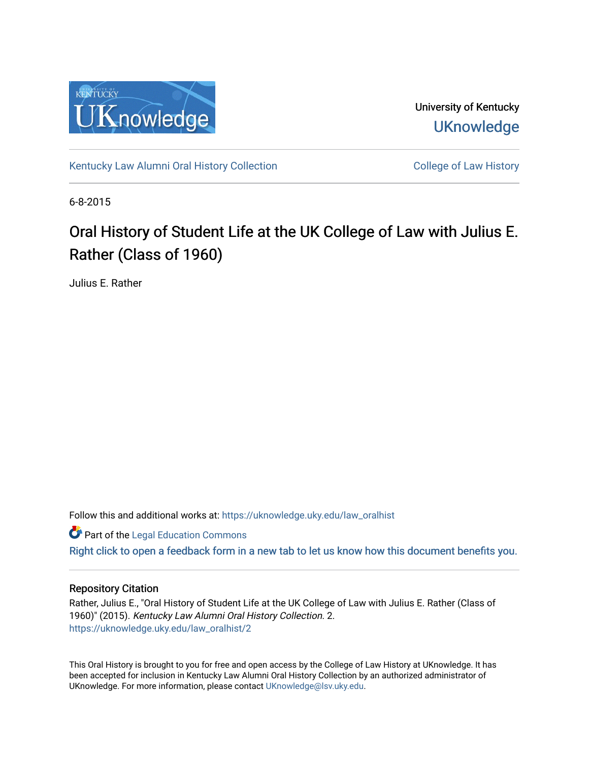

University of Kentucky **UKnowledge** 

[Kentucky Law Alumni Oral History Collection](https://uknowledge.uky.edu/law_oralhist) **College of Law History** College of Law History

6-8-2015

# Oral History of Student Life at the UK College of Law with Julius E. Rather (Class of 1960)

Julius E. Rather

Follow this and additional works at: [https://uknowledge.uky.edu/law\\_oralhist](https://uknowledge.uky.edu/law_oralhist?utm_source=uknowledge.uky.edu%2Flaw_oralhist%2F2&utm_medium=PDF&utm_campaign=PDFCoverPages)

**Part of the Legal Education Commons** 

[Right click to open a feedback form in a new tab to let us know how this document benefits you.](https://uky.az1.qualtrics.com/jfe/form/SV_9mq8fx2GnONRfz7)

## Repository Citation

Rather, Julius E., "Oral History of Student Life at the UK College of Law with Julius E. Rather (Class of 1960)" (2015). Kentucky Law Alumni Oral History Collection. 2. [https://uknowledge.uky.edu/law\\_oralhist/2](https://uknowledge.uky.edu/law_oralhist/2?utm_source=uknowledge.uky.edu%2Flaw_oralhist%2F2&utm_medium=PDF&utm_campaign=PDFCoverPages)

This Oral History is brought to you for free and open access by the College of Law History at UKnowledge. It has been accepted for inclusion in Kentucky Law Alumni Oral History Collection by an authorized administrator of UKnowledge. For more information, please contact [UKnowledge@lsv.uky.edu](mailto:UKnowledge@lsv.uky.edu).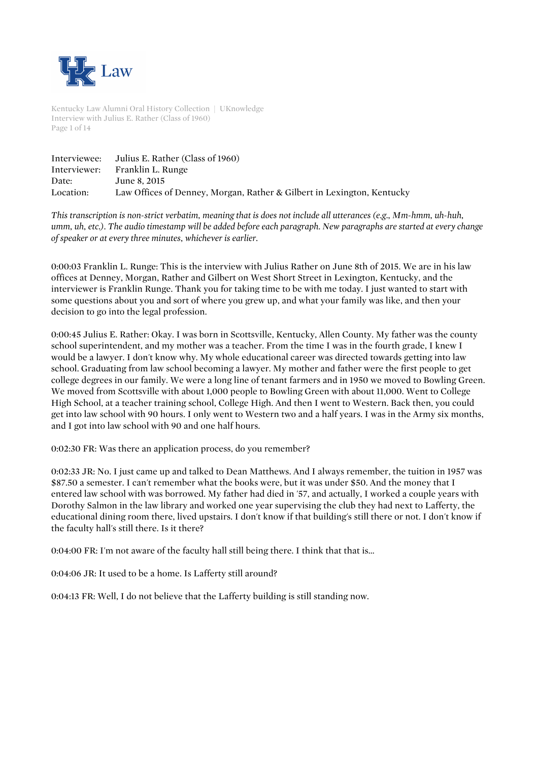

Kentucky Law Alumni Oral History Collection | UKnowledge Interview with Julius E. Rather (Class of 1960) Page 1 of 14

| Interviewee: | Julius E. Rather (Class of 1960)                                       |
|--------------|------------------------------------------------------------------------|
| Interviewer: | Franklin L. Runge                                                      |
| Date:        | June 8, 2015                                                           |
| Location:    | Law Offices of Denney, Morgan, Rather & Gilbert in Lexington, Kentucky |

*This transcription is non-strict verbatim, meaning that is does not include all utterances (e.g., Mm-hmm, uh-huh, umm, uh, etc.). The audio timestamp will be added before each paragraph. New paragraphs are started at every change of speaker or at every three minutes, whichever is earlier.*

0:00:03 Franklin L. Runge: This is the interview with Julius Rather on June 8th of 2015. We are in his law offices at Denney, Morgan, Rather and Gilbert on West Short Street in Lexington, Kentucky, and the interviewer is Franklin Runge. Thank you for taking time to be with me today. I just wanted to start with some questions about you and sort of where you grew up, and what your family was like, and then your decision to go into the legal profession.

0:00:45 Julius E. Rather: Okay. I was born in Scottsville, Kentucky, Allen County. My father was the county school superintendent, and my mother was a teacher. From the time I was in the fourth grade, I knew I would be a lawyer. I don't know why. My whole educational career was directed towards getting into law school. Graduating from law school becoming a lawyer. My mother and father were the first people to get college degrees in our family. We were a long line of tenant farmers and in 1950 we moved to Bowling Green. We moved from Scottsville with about 1,000 people to Bowling Green with about 11,000. Went to College High School, at a teacher training school, College High. And then I went to Western. Back then, you could get into law school with 90 hours. I only went to Western two and a half years. I was in the Army six months, and I got into law school with 90 and one half hours.

0:02:30 FR: Was there an application process, do you remember?

0:02:33 JR: No. I just came up and talked to Dean Matthews. And I always remember, the tuition in 1957 was \$87.50 a semester. I can't remember what the books were, but it was under \$50. And the money that I entered law school with was borrowed. My father had died in '57, and actually, I worked a couple years with Dorothy Salmon in the law library and worked one year supervising the club they had next to Lafferty, the educational dining room there, lived upstairs. I don't know if that building's still there or not. I don't know if the faculty hall's still there. Is it there?

0:04:00 FR: I'm not aware of the faculty hall still being there. I think that that is...

0:04:06 JR: It used to be a home. Is Lafferty still around?

0:04:13 FR: Well, I do not believe that the Lafferty building is still standing now.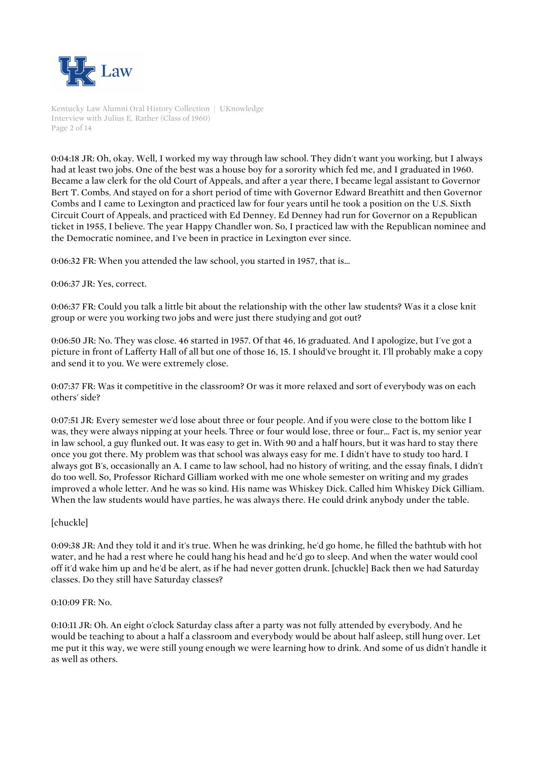

Kentucky Law Alumni Oral History Collection | UKnowledge Interview with Julius E. Rather (Class of 1960) Page 2 of 14

0:04:18 JR: Oh, okay. Well, I worked my way through law school. They didn't want you working, but I always had at least two jobs. One of the best was a house boy for a sorority which fed me, and I graduated in 1960. Became a law clerk for the old Court of Appeals, and after a year there, I became legal assistant to Governor Bert T. Combs. And stayed on for a short period of time with Governor Edward Breathitt and then Governor Combs and I came to Lexington and practiced law for four years until he took a position on the U.S. Sixth Circuit Court of Appeals, and practiced with Ed Denney. Ed Denney had run for Governor on a Republican ticket in 1955, I believe. The year Happy Chandler won. So, I practiced law with the Republican nominee and the Democratic nominee, and I've been in practice in Lexington ever since.

0:06:32 FR: When you attended the law school, you started in 1957, that is...

#### 0:06:37 JR: Yes, correct.

0:06:37 FR: Could you talk a little bit about the relationship with the other law students? Was it a close knit group or were you working two jobs and were just there studying and got out?

0:06:50 JR: No. They was close. 46 started in 1957. Of that 46, 16 graduated. And I apologize, but I've got a picture in front of Lafferty Hall of all but one of those 16, 15. I should've brought it. I'll probably make a copy and send it to you. We were extremely close.

0:07:37 FR: Was it competitive in the classroom? Or was it more relaxed and sort of everybody was on each others' side?

0:07:51 JR: Every semester we'd lose about three or four people. And if you were close to the bottom like I was, they were always nipping at your heels. Three or four would lose, three or four... Fact is, my senior year in law school, a guy flunked out. It was easy to get in. With 90 and a half hours, but it was hard to stay there once you got there. My problem was that school was always easy for me. I didn't have to study too hard. I always got B's, occasionally an A. I came to law school, had no history of writing, and the essay finals, I didn't do too well. So, Professor Richard Gilliam worked with me one whole semester on writing and my grades improved a whole letter. And he was so kind. His name was Whiskey Dick. Called him Whiskey Dick Gilliam. When the law students would have parties, he was always there. He could drink anybody under the table.

## [chuckle]

0:09:38 JR: And they told it and it's true. When he was drinking, he'd go home, he filled the bathtub with hot water, and he had a rest where he could hang his head and he'd go to sleep. And when the water would cool off it'd wake him up and he'd be alert, as if he had never gotten drunk. [chuckle] Back then we had Saturday classes. Do they still have Saturday classes?

#### 0:10:09 FR: No.

0:10:11 JR: Oh. An eight o'clock Saturday class after a party was not fully attended by everybody. And he would be teaching to about a half a classroom and everybody would be about half asleep, still hung over. Let me put it this way, we were still young enough we were learning how to drink. And some of us didn't handle it as well as others.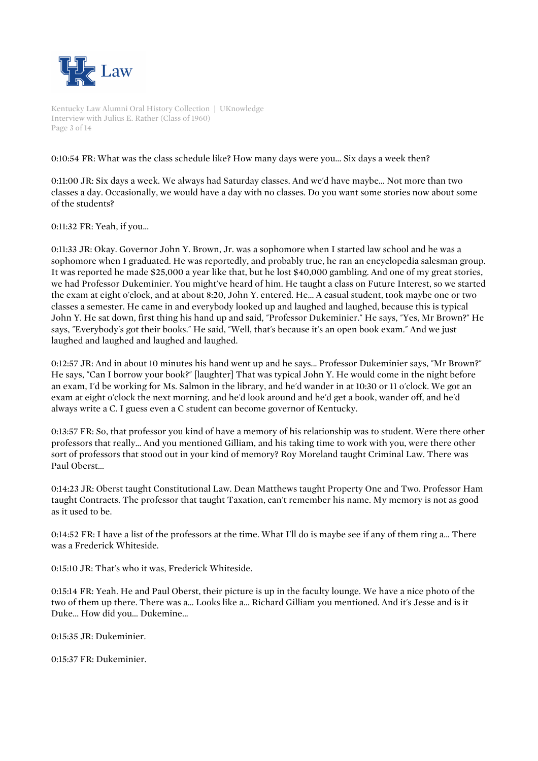

Kentucky Law Alumni Oral History Collection | UKnowledge Interview with Julius E. Rather (Class of 1960) Page 3 of 14

# 0:10:54 FR: What was the class schedule like? How many days were you... Six days a week then?

0:11:00 JR: Six days a week. We always had Saturday classes. And we'd have maybe... Not more than two classes a day. Occasionally, we would have a day with no classes. Do you want some stories now about some of the students?

0:11:32 FR: Yeah, if you...

0:11:33 JR: Okay. Governor John Y. Brown, Jr. was a sophomore when I started law school and he was a sophomore when I graduated. He was reportedly, and probably true, he ran an encyclopedia salesman group. It was reported he made \$25,000 a year like that, but he lost \$40,000 gambling. And one of my great stories, we had Professor Dukeminier. You might've heard of him. He taught a class on Future Interest, so we started the exam at eight o'clock, and at about 8:20, John Y. entered. He... A casual student, took maybe one or two classes a semester. He came in and everybody looked up and laughed and laughed, because this is typical John Y. He sat down, first thing his hand up and said, "Professor Dukeminier." He says, "Yes, Mr Brown?" He says, "Everybody's got their books." He said, "Well, that's because it's an open book exam." And we just laughed and laughed and laughed and laughed.

0:12:57 JR: And in about 10 minutes his hand went up and he says... Professor Dukeminier says, "Mr Brown?" He says, "Can I borrow your book?" [laughter] That was typical John Y. He would come in the night before an exam, I'd be working for Ms. Salmon in the library, and he'd wander in at 10:30 or 11 o'clock. We got an exam at eight o'clock the next morning, and he'd look around and he'd get a book, wander off, and he'd always write a C. I guess even a C student can become governor of Kentucky.

0:13:57 FR: So, that professor you kind of have a memory of his relationship was to student. Were there other professors that really... And you mentioned Gilliam, and his taking time to work with you, were there other sort of professors that stood out in your kind of memory? Roy Moreland taught Criminal Law. There was Paul Oberst...

0:14:23 JR: Oberst taught Constitutional Law. Dean Matthews taught Property One and Two. Professor Ham taught Contracts. The professor that taught Taxation, can't remember his name. My memory is not as good as it used to be.

0:14:52 FR: I have a list of the professors at the time. What I'll do is maybe see if any of them ring a... There was a Frederick Whiteside.

0:15:10 JR: That's who it was, Frederick Whiteside.

0:15:14 FR: Yeah. He and Paul Oberst, their picture is up in the faculty lounge. We have a nice photo of the two of them up there. There was a... Looks like a... Richard Gilliam you mentioned. And it's Jesse and is it Duke... How did you... Dukemine...

0:15:35 JR: Dukeminier.

0:15:37 FR: Dukeminier.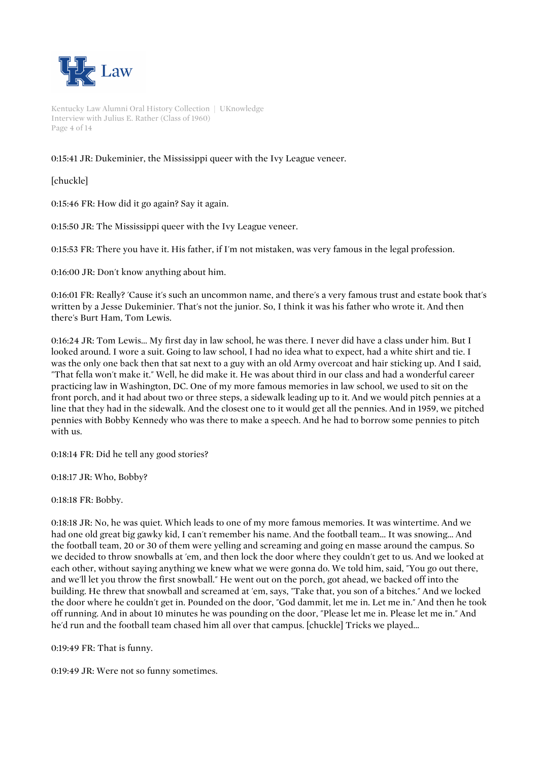

Kentucky Law Alumni Oral History Collection | UKnowledge Interview with Julius E. Rather (Class of 1960) Page 4 of 14

# 0:15:41 JR: Dukeminier, the Mississippi queer with the Ivy League veneer.

[chuckle]

0:15:46 FR: How did it go again? Say it again.

0:15:50 JR: The Mississippi queer with the Ivy League veneer.

0:15:53 FR: There you have it. His father, if I'm not mistaken, was very famous in the legal profession.

0:16:00 JR: Don't know anything about him.

0:16:01 FR: Really? 'Cause it's such an uncommon name, and there's a very famous trust and estate book that's written by a Jesse Dukeminier. That's not the junior. So, I think it was his father who wrote it. And then there's Burt Ham, Tom Lewis.

0:16:24 JR: Tom Lewis... My first day in law school, he was there. I never did have a class under him. But I looked around. I wore a suit. Going to law school, I had no idea what to expect, had a white shirt and tie. I was the only one back then that sat next to a guy with an old Army overcoat and hair sticking up. And I said, "That fella won't make it." Well, he did make it. He was about third in our class and had a wonderful career practicing law in Washington, DC. One of my more famous memories in law school, we used to sit on the front porch, and it had about two or three steps, a sidewalk leading up to it. And we would pitch pennies at a line that they had in the sidewalk. And the closest one to it would get all the pennies. And in 1959, we pitched pennies with Bobby Kennedy who was there to make a speech. And he had to borrow some pennies to pitch with us.

0:18:14 FR: Did he tell any good stories?

0:18:17 JR: Who, Bobby?

0:18:18 FR: Bobby.

0:18:18 JR: No, he was quiet. Which leads to one of my more famous memories. It was wintertime. And we had one old great big gawky kid, I can't remember his name. And the football team... It was snowing... And the football team, 20 or 30 of them were yelling and screaming and going en masse around the campus. So we decided to throw snowballs at 'em, and then lock the door where they couldn't get to us. And we looked at each other, without saying anything we knew what we were gonna do. We told him, said, "You go out there, and we'll let you throw the first snowball." He went out on the porch, got ahead, we backed off into the building. He threw that snowball and screamed at 'em, says, "Take that, you son of a bitches." And we locked the door where he couldn't get in. Pounded on the door, "God dammit, let me in. Let me in." And then he took off running. And in about 10 minutes he was pounding on the door, "Please let me in. Please let me in." And he'd run and the football team chased him all over that campus. [chuckle] Tricks we played...

0:19:49 FR: That is funny.

0:19:49 JR: Were not so funny sometimes.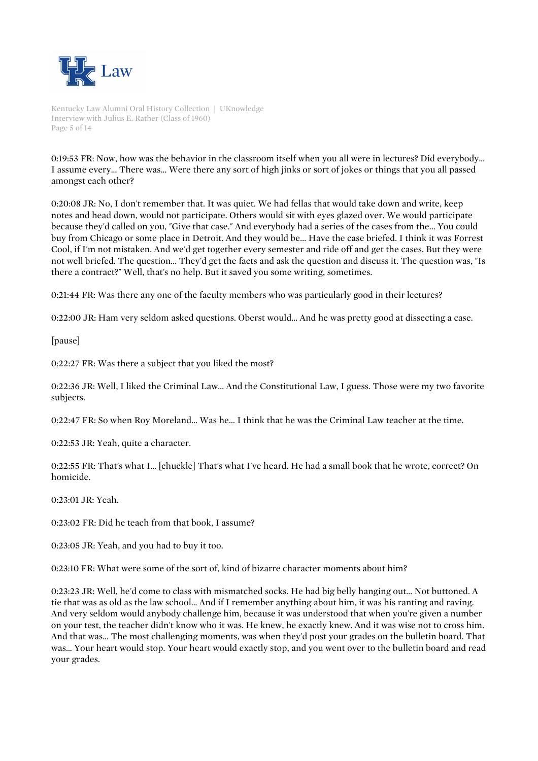

Kentucky Law Alumni Oral History Collection | UKnowledge Interview with Julius E. Rather (Class of 1960) Page 5 of 14

0:19:53 FR: Now, how was the behavior in the classroom itself when you all were in lectures? Did everybody... I assume every... There was... Were there any sort of high jinks or sort of jokes or things that you all passed amongst each other?

0:20:08 JR: No, I don't remember that. It was quiet. We had fellas that would take down and write, keep notes and head down, would not participate. Others would sit with eyes glazed over. We would participate because they'd called on you, "Give that case." And everybody had a series of the cases from the... You could buy from Chicago or some place in Detroit. And they would be... Have the case briefed. I think it was Forrest Cool, if I'm not mistaken. And we'd get together every semester and ride off and get the cases. But they were not well briefed. The question... They'd get the facts and ask the question and discuss it. The question was, "Is there a contract?" Well, that's no help. But it saved you some writing, sometimes.

0:21:44 FR: Was there any one of the faculty members who was particularly good in their lectures?

0:22:00 JR: Ham very seldom asked questions. Oberst would... And he was pretty good at dissecting a case.

[pause]

0:22:27 FR: Was there a subject that you liked the most?

0:22:36 JR: Well, I liked the Criminal Law... And the Constitutional Law, I guess. Those were my two favorite subjects.

0:22:47 FR: So when Roy Moreland... Was he... I think that he was the Criminal Law teacher at the time.

0:22:53 JR: Yeah, quite a character.

0:22:55 FR: That's what I... [chuckle] That's what I've heard. He had a small book that he wrote, correct? On homicide.

0:23:01 JR: Yeah.

0:23:02 FR: Did he teach from that book, I assume?

0:23:05 JR: Yeah, and you had to buy it too.

0:23:10 FR: What were some of the sort of, kind of bizarre character moments about him?

0:23:23 JR: Well, he'd come to class with mismatched socks. He had big belly hanging out... Not buttoned. A tie that was as old as the law school... And if I remember anything about him, it was his ranting and raving. And very seldom would anybody challenge him, because it was understood that when you're given a number on your test, the teacher didn't know who it was. He knew, he exactly knew. And it was wise not to cross him. And that was... The most challenging moments, was when they'd post your grades on the bulletin board. That was... Your heart would stop. Your heart would exactly stop, and you went over to the bulletin board and read your grades.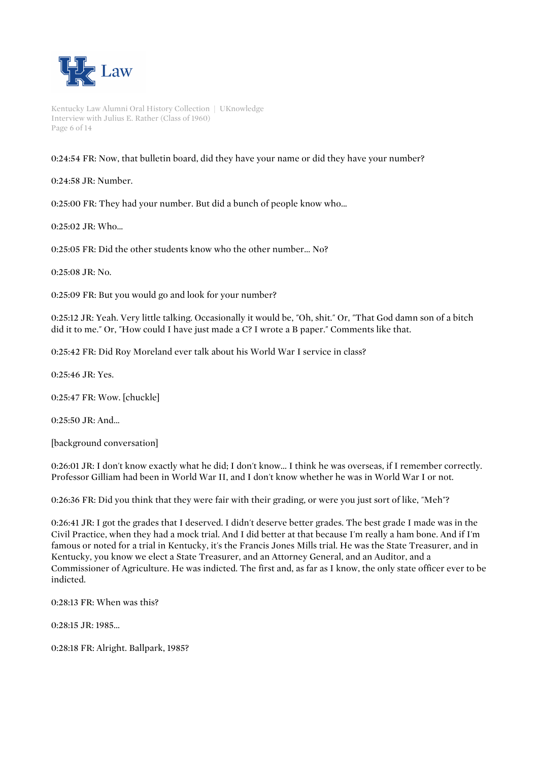

Kentucky Law Alumni Oral History Collection | UKnowledge Interview with Julius E. Rather (Class of 1960) Page 6 of 14

0:24:54 FR: Now, that bulletin board, did they have your name or did they have your number?

0:24:58 JR: Number.

0:25:00 FR: They had your number. But did a bunch of people know who...

 $0.25:02$  JR $\cdot$  Who.

0:25:05 FR: Did the other students know who the other number... No?

0:25:08 JR: No.

0:25:09 FR: But you would go and look for your number?

0:25:12 JR: Yeah. Very little talking. Occasionally it would be, "Oh, shit." Or, "That God damn son of a bitch did it to me." Or, "How could I have just made a C? I wrote a B paper." Comments like that.

0:25:42 FR: Did Roy Moreland ever talk about his World War I service in class?

0:25:46 JR: Yes.

0:25:47 FR: Wow. [chuckle]

0:25:50 JR: And...

[background conversation]

0:26:01 JR: I don't know exactly what he did; I don't know... I think he was overseas, if I remember correctly. Professor Gilliam had been in World War II, and I don't know whether he was in World War I or not.

0:26:36 FR: Did you think that they were fair with their grading, or were you just sort of like, "Meh"?

0:26:41 JR: I got the grades that I deserved. I didn't deserve better grades. The best grade I made was in the Civil Practice, when they had a mock trial. And I did better at that because I'm really a ham bone. And if I'm famous or noted for a trial in Kentucky, it's the Francis Jones Mills trial. He was the State Treasurer, and in Kentucky, you know we elect a State Treasurer, and an Attorney General, and an Auditor, and a Commissioner of Agriculture. He was indicted. The first and, as far as I know, the only state officer ever to be indicted.

0:28:13 FR: When was this?

0:28:15 JR: 1985...

0:28:18 FR: Alright. Ballpark, 1985?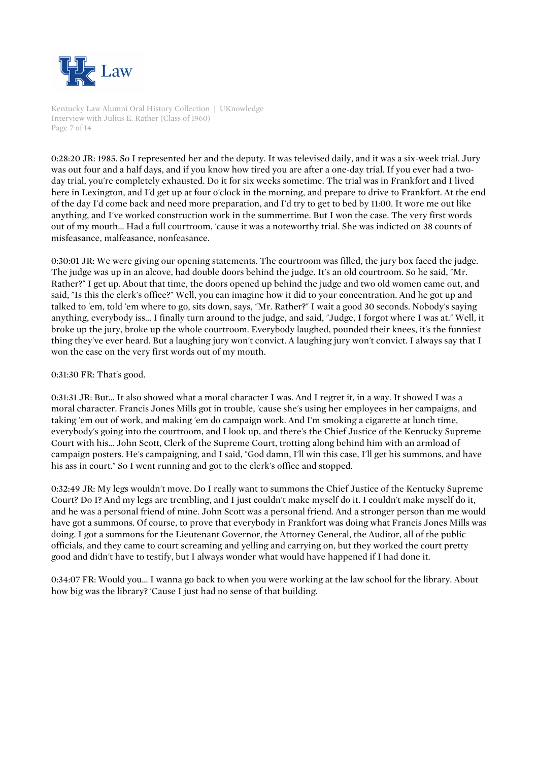

Kentucky Law Alumni Oral History Collection | UKnowledge Interview with Julius E. Rather (Class of 1960) Page 7 of 14

0:28:20 JR: 1985. So I represented her and the deputy. It was televised daily, and it was a six-week trial. Jury was out four and a half days, and if you know how tired you are after a one-day trial. If you ever had a twoday trial, you're completely exhausted. Do it for six weeks sometime. The trial was in Frankfort and I lived here in Lexington, and I'd get up at four o'clock in the morning, and prepare to drive to Frankfort. At the end of the day I'd come back and need more preparation, and I'd try to get to bed by 11:00. It wore me out like anything, and I've worked construction work in the summertime. But I won the case. The very first words out of my mouth... Had a full courtroom, 'cause it was a noteworthy trial. She was indicted on 38 counts of misfeasance, malfeasance, nonfeasance.

0:30:01 JR: We were giving our opening statements. The courtroom was filled, the jury box faced the judge. The judge was up in an alcove, had double doors behind the judge. It's an old courtroom. So he said, "Mr. Rather?" I get up. About that time, the doors opened up behind the judge and two old women came out, and said, "Is this the clerk's office?" Well, you can imagine how it did to your concentration. And he got up and talked to 'em, told 'em where to go, sits down, says, "Mr. Rather?" I wait a good 30 seconds. Nobody's saying anything, everybody iss... I finally turn around to the judge, and said, "Judge, I forgot where I was at." Well, it broke up the jury, broke up the whole courtroom. Everybody laughed, pounded their knees, it's the funniest thing they've ever heard. But a laughing jury won't convict. A laughing jury won't convict. I always say that I won the case on the very first words out of my mouth.

#### 0:31:30 FR: That's good.

0:31:31 JR: But... It also showed what a moral character I was. And I regret it, in a way. It showed I was a moral character. Francis Jones Mills got in trouble, 'cause she's using her employees in her campaigns, and taking 'em out of work, and making 'em do campaign work. And I'm smoking a cigarette at lunch time, everybody's going into the courtroom, and I look up, and there's the Chief Justice of the Kentucky Supreme Court with his... John Scott, Clerk of the Supreme Court, trotting along behind him with an armload of campaign posters. He's campaigning, and I said, "God damn, I'll win this case, I'll get his summons, and have his ass in court." So I went running and got to the clerk's office and stopped.

0:32:49 JR: My legs wouldn't move. Do I really want to summons the Chief Justice of the Kentucky Supreme Court? Do I? And my legs are trembling, and I just couldn't make myself do it. I couldn't make myself do it, and he was a personal friend of mine. John Scott was a personal friend. And a stronger person than me would have got a summons. Of course, to prove that everybody in Frankfort was doing what Francis Jones Mills was doing. I got a summons for the Lieutenant Governor, the Attorney General, the Auditor, all of the public officials, and they came to court screaming and yelling and carrying on, but they worked the court pretty good and didn't have to testify, but I always wonder what would have happened if I had done it.

0:34:07 FR: Would you... I wanna go back to when you were working at the law school for the library. About how big was the library? 'Cause I just had no sense of that building.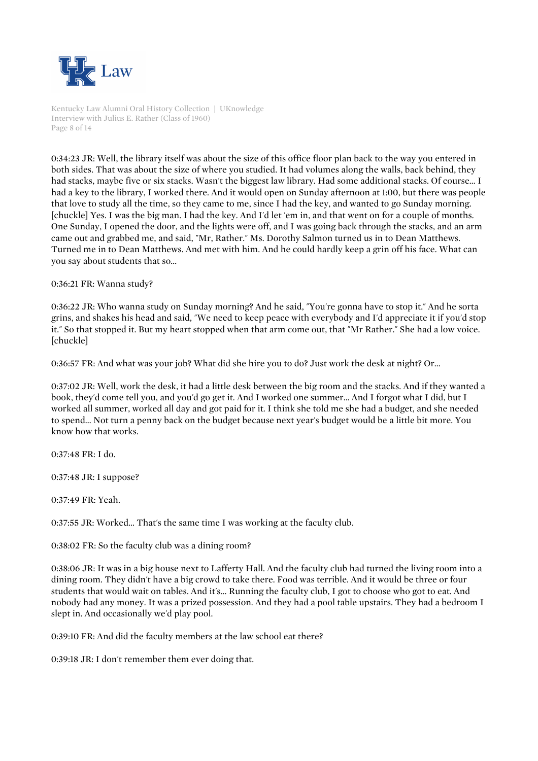

Kentucky Law Alumni Oral History Collection | UKnowledge Interview with Julius E. Rather (Class of 1960) Page 8 of 14

0:34:23 JR: Well, the library itself was about the size of this office floor plan back to the way you entered in both sides. That was about the size of where you studied. It had volumes along the walls, back behind, they had stacks, maybe five or six stacks. Wasn't the biggest law library. Had some additional stacks. Of course... I had a key to the library, I worked there. And it would open on Sunday afternoon at 1:00, but there was people that love to study all the time, so they came to me, since I had the key, and wanted to go Sunday morning. [chuckle] Yes. I was the big man. I had the key. And I'd let 'em in, and that went on for a couple of months. One Sunday, I opened the door, and the lights were off, and I was going back through the stacks, and an arm came out and grabbed me, and said, "Mr, Rather." Ms. Dorothy Salmon turned us in to Dean Matthews. Turned me in to Dean Matthews. And met with him. And he could hardly keep a grin off his face. What can you say about students that so...

0:36:21 FR: Wanna study?

0:36:22 JR: Who wanna study on Sunday morning? And he said, "You're gonna have to stop it." And he sorta grins, and shakes his head and said, "We need to keep peace with everybody and I'd appreciate it if you'd stop it." So that stopped it. But my heart stopped when that arm come out, that "Mr Rather." She had a low voice. [chuckle]

0:36:57 FR: And what was your job? What did she hire you to do? Just work the desk at night? Or...

0:37:02 JR: Well, work the desk, it had a little desk between the big room and the stacks. And if they wanted a book, they'd come tell you, and you'd go get it. And I worked one summer... And I forgot what I did, but I worked all summer, worked all day and got paid for it. I think she told me she had a budget, and she needed to spend... Not turn a penny back on the budget because next year's budget would be a little bit more. You know how that works.

0:37:48 FR: I do.

0:37:48 JR: I suppose?

0:37:49 FR: Yeah.

0:37:55 JR: Worked... That's the same time I was working at the faculty club.

0:38:02 FR: So the faculty club was a dining room?

0:38:06 JR: It was in a big house next to Lafferty Hall. And the faculty club had turned the living room into a dining room. They didn't have a big crowd to take there. Food was terrible. And it would be three or four students that would wait on tables. And it's... Running the faculty club, I got to choose who got to eat. And nobody had any money. It was a prized possession. And they had a pool table upstairs. They had a bedroom I slept in. And occasionally we'd play pool.

0:39:10 FR: And did the faculty members at the law school eat there?

0:39:18 JR: I don't remember them ever doing that.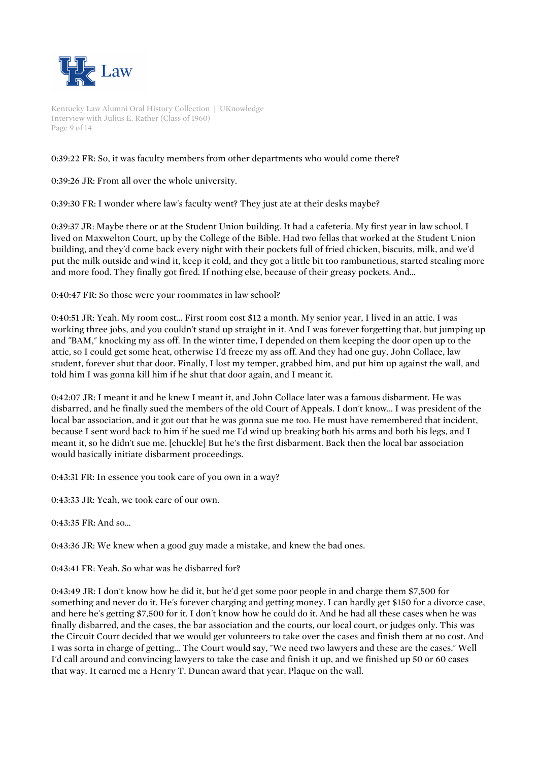

Kentucky Law Alumni Oral History Collection | UKnowledge Interview with Julius E. Rather (Class of 1960) Page 9 of 14

# 0:39:22 FR: So, it was faculty members from other departments who would come there?

0:39:26 JR: From all over the whole university.

0:39:30 FR: I wonder where law's faculty went? They just ate at their desks maybe?

0:39:37 JR: Maybe there or at the Student Union building. It had a cafeteria. My first year in law school, I lived on Maxwelton Court, up by the College of the Bible. Had two fellas that worked at the Student Union building, and they'd come back every night with their pockets full of fried chicken, biscuits, milk, and we'd put the milk outside and wind it, keep it cold, and they got a little bit too rambunctious, started stealing more and more food. They finally got fired. If nothing else, because of their greasy pockets. And...

0:40:47 FR: So those were your roommates in law school?

0:40:51 JR: Yeah. My room cost... First room cost \$12 a month. My senior year, I lived in an attic. I was working three jobs, and you couldn't stand up straight in it. And I was forever forgetting that, but jumping up and "BAM," knocking my ass off. In the winter time, I depended on them keeping the door open up to the attic, so I could get some heat, otherwise I'd freeze my ass off. And they had one guy, John Collace, law student, forever shut that door. Finally, I lost my temper, grabbed him, and put him up against the wall, and told him I was gonna kill him if he shut that door again, and I meant it.

0:42:07 JR: I meant it and he knew I meant it, and John Collace later was a famous disbarment. He was disbarred, and he finally sued the members of the old Court of Appeals. I don't know... I was president of the local bar association, and it got out that he was gonna sue me too. He must have remembered that incident, because I sent word back to him if he sued me I'd wind up breaking both his arms and both his legs, and I meant it, so he didn't sue me. [chuckle] But he's the first disbarment. Back then the local bar association would basically initiate disbarment proceedings.

0:43:31 FR: In essence you took care of you own in a way?

0:43:33 JR: Yeah, we took care of our own.

0:43:35 FR: And so...

0:43:36 JR: We knew when a good guy made a mistake, and knew the bad ones.

0:43:41 FR: Yeah. So what was he disbarred for?

0:43:49 JR: I don't know how he did it, but he'd get some poor people in and charge them \$7,500 for something and never do it. He's forever charging and getting money. I can hardly get \$150 for a divorce case, and here he's getting \$7,500 for it. I don't know how he could do it. And he had all these cases when he was finally disbarred, and the cases, the bar association and the courts, our local court, or judges only. This was the Circuit Court decided that we would get volunteers to take over the cases and finish them at no cost. And I was sorta in charge of getting... The Court would say, "We need two lawyers and these are the cases." Well I'd call around and convincing lawyers to take the case and finish it up, and we finished up 50 or 60 cases that way. It earned me a Henry T. Duncan award that year. Plaque on the wall.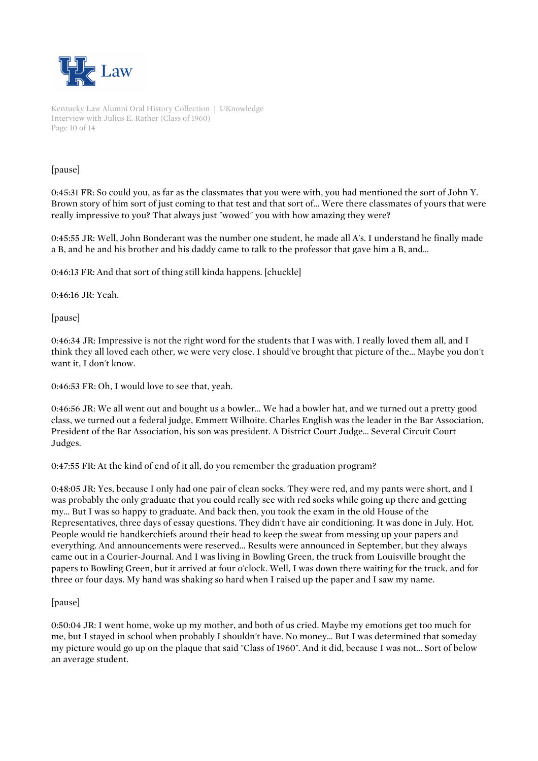

Kentucky Law Alumni Oral History Collection | UKnowledge Interview with Julius E. Rather (Class of 1960) Page 10 of 14

## [pause]

0:45:31 FR: So could you, as far as the classmates that you were with, you had mentioned the sort of John Y. Brown story of him sort of just coming to that test and that sort of... Were there classmates of yours that were really impressive to you? That always just "wowed" you with how amazing they were?

0:45:55 JR: Well, John Bonderant was the number one student, he made all A's. I understand he finally made a B, and he and his brother and his daddy came to talk to the professor that gave him a B, and...

0:46:13 FR: And that sort of thing still kinda happens. [chuckle]

0:46:16 JR: Yeah.

[pause]

0:46:34 JR: Impressive is not the right word for the students that I was with. I really loved them all, and I think they all loved each other, we were very close. I should've brought that picture of the... Maybe you don't want it, I don't know.

0:46:53 FR: Oh, I would love to see that, yeah.

0:46:56 JR: We all went out and bought us a bowler... We had a bowler hat, and we turned out a pretty good class, we turned out a federal judge, Emmett Wilhoite. Charles English was the leader in the Bar Association, President of the Bar Association, his son was president. A District Court Judge... Several Circuit Court Judges.

0:47:55 FR: At the kind of end of it all, do you remember the graduation program?

0:48:05 JR: Yes, because I only had one pair of clean socks. They were red, and my pants were short, and I was probably the only graduate that you could really see with red socks while going up there and getting my... But I was so happy to graduate. And back then, you took the exam in the old House of the Representatives, three days of essay questions. They didn't have air conditioning. It was done in July. Hot. People would tie handkerchiefs around their head to keep the sweat from messing up your papers and everything. And announcements were reserved... Results were announced in September, but they always came out in a Courier-Journal. And I was living in Bowling Green, the truck from Louisville brought the papers to Bowling Green, but it arrived at four o'clock. Well, I was down there waiting for the truck, and for three or four days. My hand was shaking so hard when I raised up the paper and I saw my name.

## [pause]

0:50:04 JR: I went home, woke up my mother, and both of us cried. Maybe my emotions get too much for me, but I stayed in school when probably I shouldn't have. No money... But I was determined that someday my picture would go up on the plaque that said "Class of 1960". And it did, because I was not... Sort of below an average student.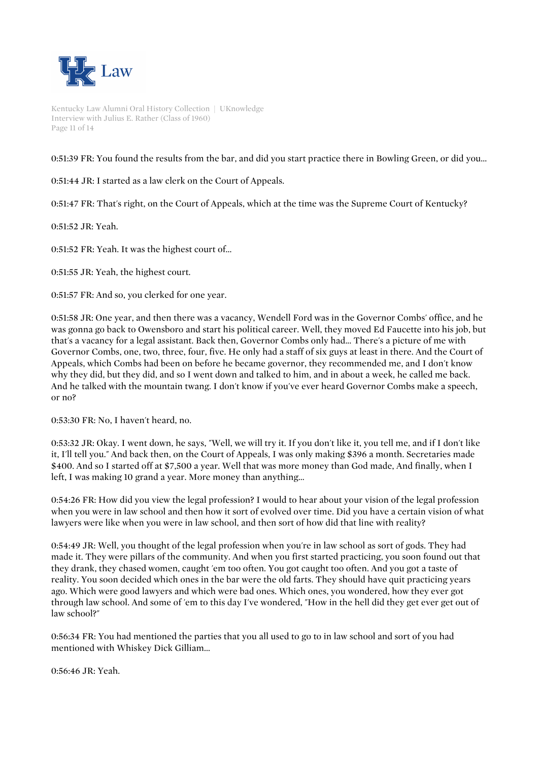

Kentucky Law Alumni Oral History Collection | UKnowledge Interview with Julius E. Rather (Class of 1960) Page 11 of 14

0:51:39 FR: You found the results from the bar, and did you start practice there in Bowling Green, or did you...

0:51:44 JR: I started as a law clerk on the Court of Appeals.

0:51:47 FR: That's right, on the Court of Appeals, which at the time was the Supreme Court of Kentucky?

0:51:52 JR: Yeah.

0:51:52 FR: Yeah. It was the highest court of...

0:51:55 JR: Yeah, the highest court.

0:51:57 FR: And so, you clerked for one year.

0:51:58 JR: One year, and then there was a vacancy, Wendell Ford was in the Governor Combs' office, and he was gonna go back to Owensboro and start his political career. Well, they moved Ed Faucette into his job, but that's a vacancy for a legal assistant. Back then, Governor Combs only had... There's a picture of me with Governor Combs, one, two, three, four, five. He only had a staff of six guys at least in there. And the Court of Appeals, which Combs had been on before he became governor, they recommended me, and I don't know why they did, but they did, and so I went down and talked to him, and in about a week, he called me back. And he talked with the mountain twang. I don't know if you've ever heard Governor Combs make a speech, or no?

0:53:30 FR: No, I haven't heard, no.

0:53:32 JR: Okay. I went down, he says, "Well, we will try it. If you don't like it, you tell me, and if I don't like it, I'll tell you." And back then, on the Court of Appeals, I was only making \$396 a month. Secretaries made \$400. And so I started off at \$7,500 a year. Well that was more money than God made, And finally, when I left, I was making 10 grand a year. More money than anything...

0:54:26 FR: How did you view the legal profession? I would to hear about your vision of the legal profession when you were in law school and then how it sort of evolved over time. Did you have a certain vision of what lawyers were like when you were in law school, and then sort of how did that line with reality?

0:54:49 JR: Well, you thought of the legal profession when you're in law school as sort of gods. They had made it. They were pillars of the community. And when you first started practicing, you soon found out that they drank, they chased women, caught 'em too often. You got caught too often. And you got a taste of reality. You soon decided which ones in the bar were the old farts. They should have quit practicing years ago. Which were good lawyers and which were bad ones. Which ones, you wondered, how they ever got through law school. And some of 'em to this day I've wondered, "How in the hell did they get ever get out of law school?"

0:56:34 FR: You had mentioned the parties that you all used to go to in law school and sort of you had mentioned with Whiskey Dick Gilliam...

0:56:46 JR: Yeah.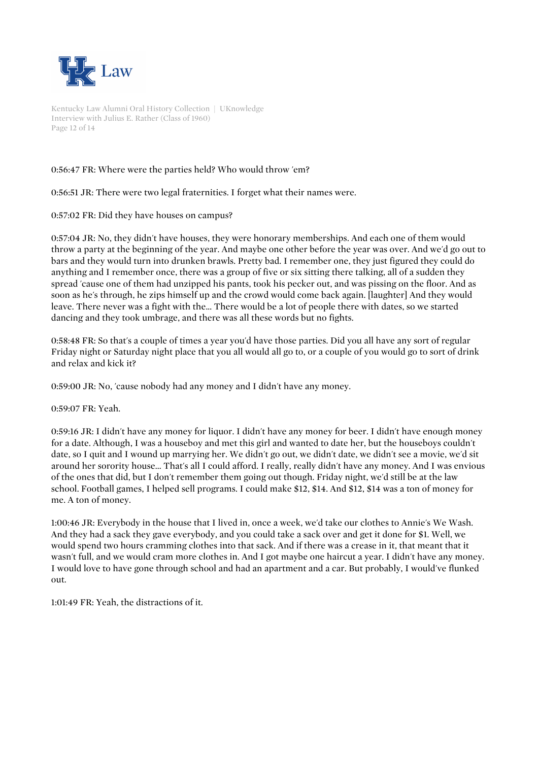

Kentucky Law Alumni Oral History Collection | UKnowledge Interview with Julius E. Rather (Class of 1960) Page 12 of 14

# 0:56:47 FR: Where were the parties held? Who would throw 'em?

0:56:51 JR: There were two legal fraternities. I forget what their names were.

0:57:02 FR: Did they have houses on campus?

0:57:04 JR: No, they didn't have houses, they were honorary memberships. And each one of them would throw a party at the beginning of the year. And maybe one other before the year was over. And we'd go out to bars and they would turn into drunken brawls. Pretty bad. I remember one, they just figured they could do anything and I remember once, there was a group of five or six sitting there talking, all of a sudden they spread 'cause one of them had unzipped his pants, took his pecker out, and was pissing on the floor. And as soon as he's through, he zips himself up and the crowd would come back again. [laughter] And they would leave. There never was a fight with the... There would be a lot of people there with dates, so we started dancing and they took umbrage, and there was all these words but no fights.

0:58:48 FR: So that's a couple of times a year you'd have those parties. Did you all have any sort of regular Friday night or Saturday night place that you all would all go to, or a couple of you would go to sort of drink and relax and kick it?

0:59:00 JR: No, 'cause nobody had any money and I didn't have any money.

0:59:07 FR: Yeah.

0:59:16 JR: I didn't have any money for liquor. I didn't have any money for beer. I didn't have enough money for a date. Although, I was a houseboy and met this girl and wanted to date her, but the houseboys couldn't date, so I quit and I wound up marrying her. We didn't go out, we didn't date, we didn't see a movie, we'd sit around her sorority house... That's all I could afford. I really, really didn't have any money. And I was envious of the ones that did, but I don't remember them going out though. Friday night, we'd still be at the law school. Football games, I helped sell programs. I could make \$12, \$14. And \$12, \$14 was a ton of money for me. A ton of money.

1:00:46 JR: Everybody in the house that I lived in, once a week, we'd take our clothes to Annie's We Wash. And they had a sack they gave everybody, and you could take a sack over and get it done for \$1. Well, we would spend two hours cramming clothes into that sack. And if there was a crease in it, that meant that it wasn't full, and we would cram more clothes in. And I got maybe one haircut a year. I didn't have any money. I would love to have gone through school and had an apartment and a car. But probably, I would've flunked out.

1:01:49 FR: Yeah, the distractions of it.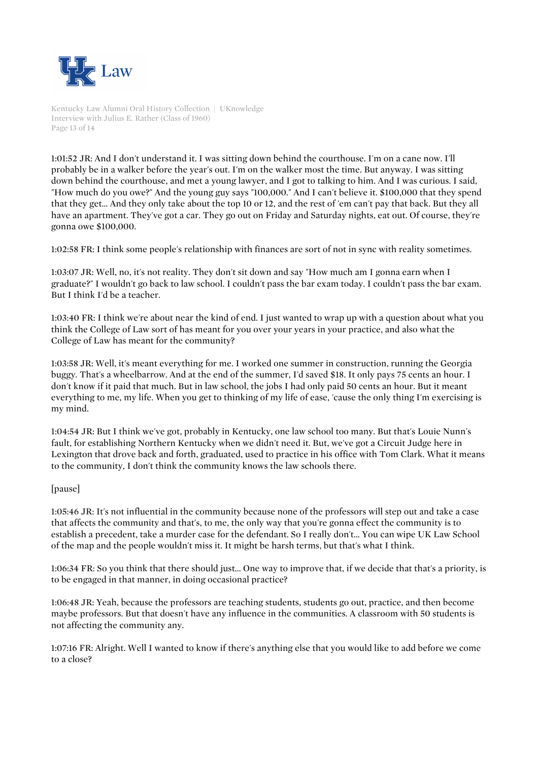

Kentucky Law Alumni Oral History Collection | UKnowledge Interview with Julius E. Rather (Class of 1960) Page 13 of 14

1:01:52 JR: And I don't understand it. I was sitting down behind the courthouse. I'm on a cane now. I'll probably be in a walker before the year's out. I'm on the walker most the time. But anyway. I was sitting down behind the courthouse, and met a young lawyer, and I got to talking to him. And I was curious. I said, "How much do you owe?" And the young guy says "100,000." And I can't believe it. \$100,000 that they spend that they get... And they only take about the top 10 or 12, and the rest of 'em can't pay that back. But they all have an apartment. They've got a car. They go out on Friday and Saturday nights, eat out. Of course, they're gonna owe \$100,000.

1:02:58 FR: I think some people's relationship with finances are sort of not in sync with reality sometimes.

1:03:07 JR: Well, no, it's not reality. They don't sit down and say "How much am I gonna earn when I graduate?" I wouldn't go back to law school. I couldn't pass the bar exam today. I couldn't pass the bar exam. But I think I'd be a teacher.

1:03:40 FR: I think we're about near the kind of end. I just wanted to wrap up with a question about what you think the College of Law sort of has meant for you over your years in your practice, and also what the College of Law has meant for the community?

1:03:58 JR: Well, it's meant everything for me. I worked one summer in construction, running the Georgia buggy. That's a wheelbarrow. And at the end of the summer, I'd saved \$18. It only pays 75 cents an hour. I don't know if it paid that much. But in law school, the jobs I had only paid 50 cents an hour. But it meant everything to me, my life. When you get to thinking of my life of ease, 'cause the only thing I'm exercising is my mind.

1:04:54 JR: But I think we've got, probably in Kentucky, one law school too many. But that's Louie Nunn's fault, for establishing Northern Kentucky when we didn't need it. But, we've got a Circuit Judge here in Lexington that drove back and forth, graduated, used to practice in his office with Tom Clark. What it means to the community, I don't think the community knows the law schools there.

## [pause]

1:05:46 JR: It's not influential in the community because none of the professors will step out and take a case that affects the community and that's, to me, the only way that you're gonna effect the community is to establish a precedent, take a murder case for the defendant. So I really don't... You can wipe UK Law School of the map and the people wouldn't miss it. It might be harsh terms, but that's what I think.

1:06:34 FR: So you think that there should just... One way to improve that, if we decide that that's a priority, is to be engaged in that manner, in doing occasional practice?

1:06:48 JR: Yeah, because the professors are teaching students, students go out, practice, and then become maybe professors. But that doesn't have any influence in the communities. A classroom with 50 students is not affecting the community any.

1:07:16 FR: Alright. Well I wanted to know if there's anything else that you would like to add before we come to a close?